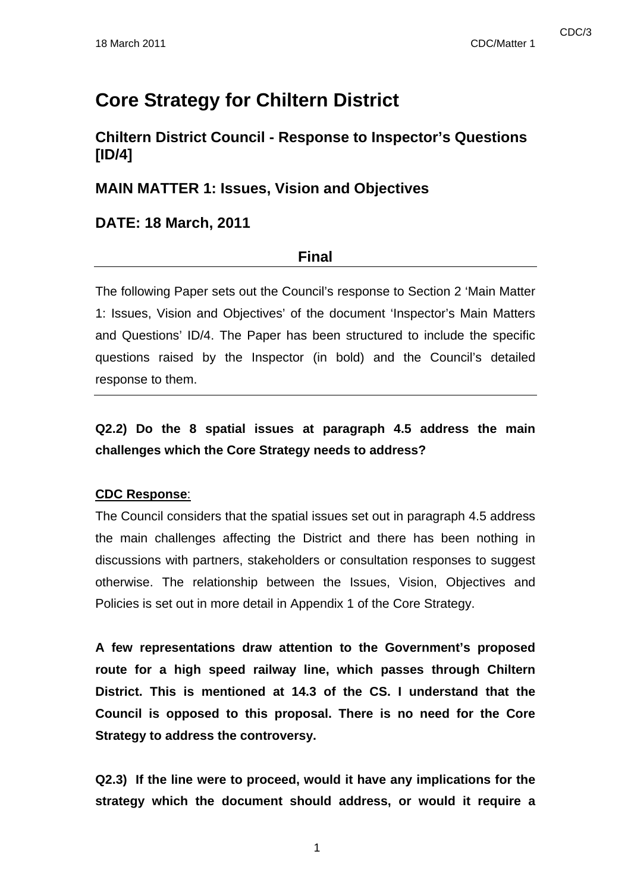# **Core Strategy for Chiltern District**

### **Chiltern District Council - Response to Inspector's Questions [ID/4]**

### **MAIN MATTER 1: Issues, Vision and Objectives**

### **DATE: 18 March, 2011**

### **Final**

The following Paper sets out the Council's response to Section 2 'Main Matter 1: Issues, Vision and Objectives' of the document 'Inspector's Main Matters and Questions' ID/4. The Paper has been structured to include the specific questions raised by the Inspector (in bold) and the Council's detailed response to them.

# **Q2.2) Do the 8 spatial issues at paragraph 4.5 address the main challenges which the Core Strategy needs to address?**

### **CDC Response**:

The Council considers that the spatial issues set out in paragraph 4.5 address the main challenges affecting the District and there has been nothing in discussions with partners, stakeholders or consultation responses to suggest otherwise. The relationship between the Issues, Vision, Objectives and Policies is set out in more detail in Appendix 1 of the Core Strategy.

**A few representations draw attention to the Government's proposed route for a high speed railway line, which passes through Chiltern District. This is mentioned at 14.3 of the CS. I understand that the Council is opposed to this proposal. There is no need for the Core Strategy to address the controversy.** 

**Q2.3) If the line were to proceed, would it have any implications for the strategy which the document should address, or would it require a**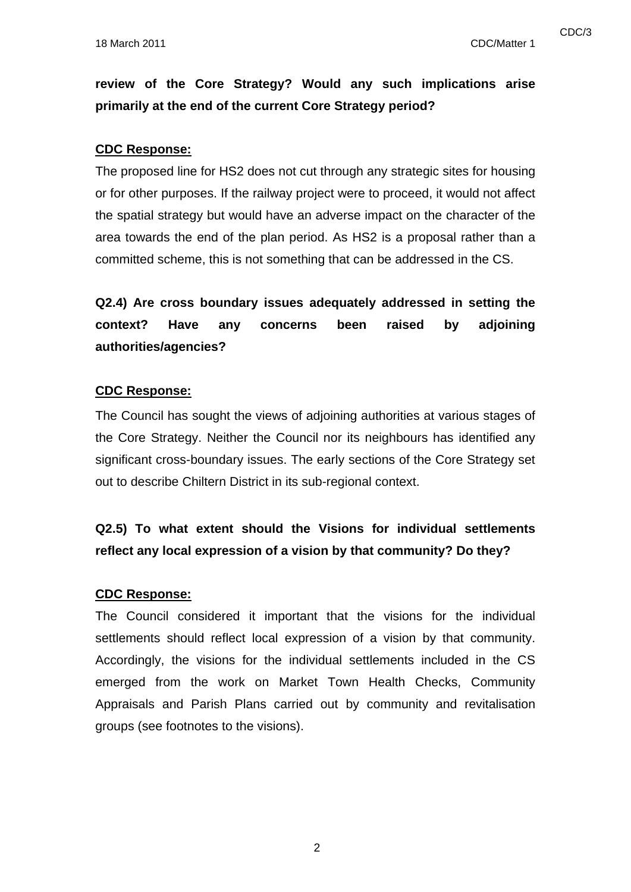# **review of the Core Strategy? Would any such implications arise primarily at the end of the current Core Strategy period?**

#### **CDC Response:**

The proposed line for HS2 does not cut through any strategic sites for housing or for other purposes. If the railway project were to proceed, it would not affect the spatial strategy but would have an adverse impact on the character of the area towards the end of the plan period. As HS2 is a proposal rather than a committed scheme, this is not something that can be addressed in the CS.

# **Q2.4) Are cross boundary issues adequately addressed in setting the context? Have any concerns been raised by adjoining authorities/agencies?**

#### **CDC Response:**

The Council has sought the views of adjoining authorities at various stages of the Core Strategy. Neither the Council nor its neighbours has identified any significant cross-boundary issues. The early sections of the Core Strategy set out to describe Chiltern District in its sub-regional context.

# **Q2.5) To what extent should the Visions for individual settlements reflect any local expression of a vision by that community? Do they?**

#### **CDC Response:**

The Council considered it important that the visions for the individual settlements should reflect local expression of a vision by that community. Accordingly, the visions for the individual settlements included in the CS emerged from the work on Market Town Health Checks, Community Appraisals and Parish Plans carried out by community and revitalisation groups (see footnotes to the visions).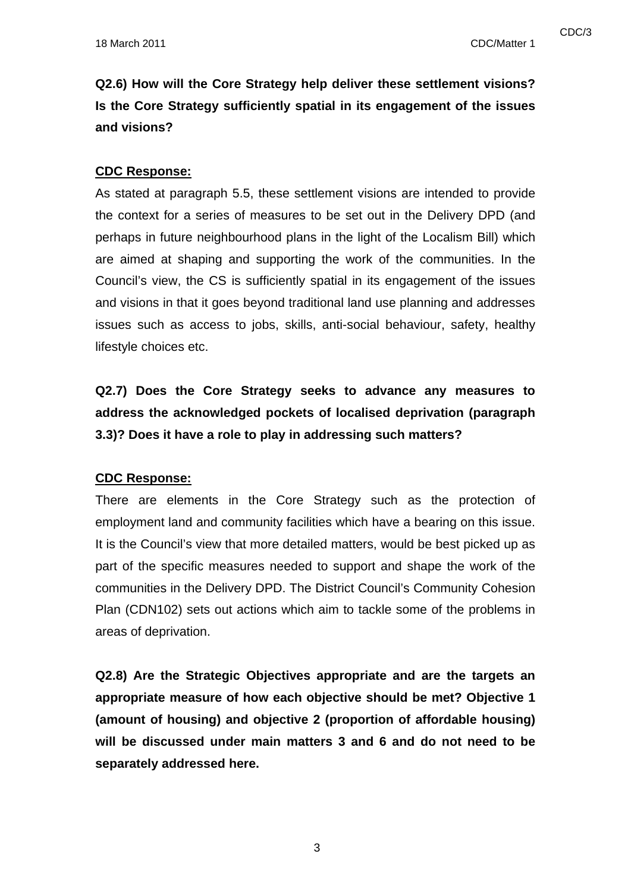**Q2.6) How will the Core Strategy help deliver these settlement visions? Is the Core Strategy sufficiently spatial in its engagement of the issues and visions?** 

#### **CDC Response:**

As stated at paragraph 5.5, these settlement visions are intended to provide the context for a series of measures to be set out in the Delivery DPD (and perhaps in future neighbourhood plans in the light of the Localism Bill) which are aimed at shaping and supporting the work of the communities. In the Council's view, the CS is sufficiently spatial in its engagement of the issues and visions in that it goes beyond traditional land use planning and addresses issues such as access to jobs, skills, anti-social behaviour, safety, healthy lifestyle choices etc.

**Q2.7) Does the Core Strategy seeks to advance any measures to address the acknowledged pockets of localised deprivation (paragraph 3.3)? Does it have a role to play in addressing such matters?** 

#### **CDC Response:**

There are elements in the Core Strategy such as the protection of employment land and community facilities which have a bearing on this issue. It is the Council's view that more detailed matters, would be best picked up as part of the specific measures needed to support and shape the work of the communities in the Delivery DPD. The District Council's Community Cohesion Plan (CDN102) sets out actions which aim to tackle some of the problems in areas of deprivation.

**Q2.8) Are the Strategic Objectives appropriate and are the targets an appropriate measure of how each objective should be met? Objective 1 (amount of housing) and objective 2 (proportion of affordable housing) will be discussed under main matters 3 and 6 and do not need to be separately addressed here.**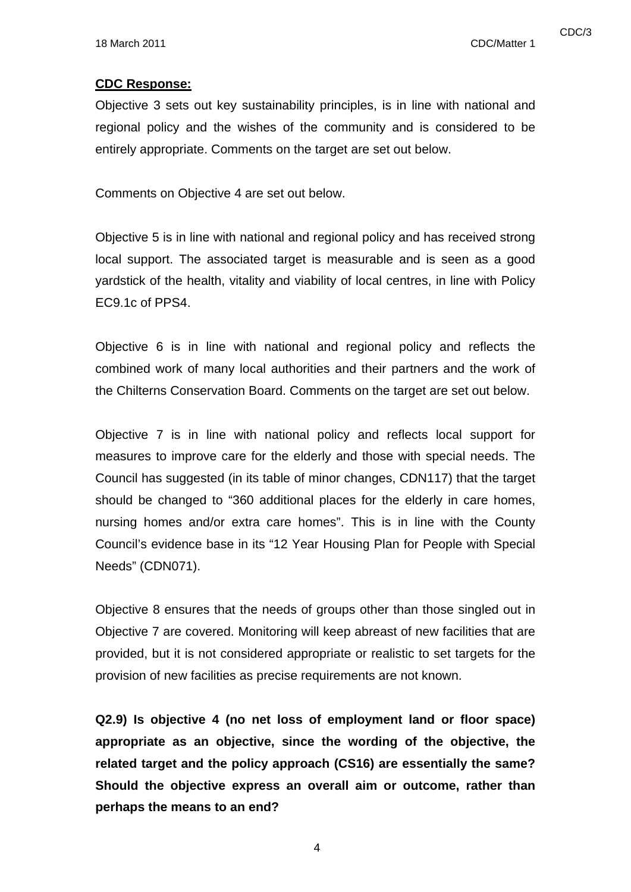#### **CDC Response:**

Objective 3 sets out key sustainability principles, is in line with national and regional policy and the wishes of the community and is considered to be entirely appropriate. Comments on the target are set out below.

Comments on Objective 4 are set out below.

Objective 5 is in line with national and regional policy and has received strong local support. The associated target is measurable and is seen as a good yardstick of the health, vitality and viability of local centres, in line with Policy EC9.1c of PPS4.

Objective 6 is in line with national and regional policy and reflects the combined work of many local authorities and their partners and the work of the Chilterns Conservation Board. Comments on the target are set out below.

Objective 7 is in line with national policy and reflects local support for measures to improve care for the elderly and those with special needs. The Council has suggested (in its table of minor changes, CDN117) that the target should be changed to "360 additional places for the elderly in care homes, nursing homes and/or extra care homes". This is in line with the County Council's evidence base in its "12 Year Housing Plan for People with Special Needs" (CDN071).

Objective 8 ensures that the needs of groups other than those singled out in Objective 7 are covered. Monitoring will keep abreast of new facilities that are provided, but it is not considered appropriate or realistic to set targets for the provision of new facilities as precise requirements are not known.

**Q2.9) Is objective 4 (no net loss of employment land or floor space) appropriate as an objective, since the wording of the objective, the related target and the policy approach (CS16) are essentially the same? Should the objective express an overall aim or outcome, rather than perhaps the means to an end?**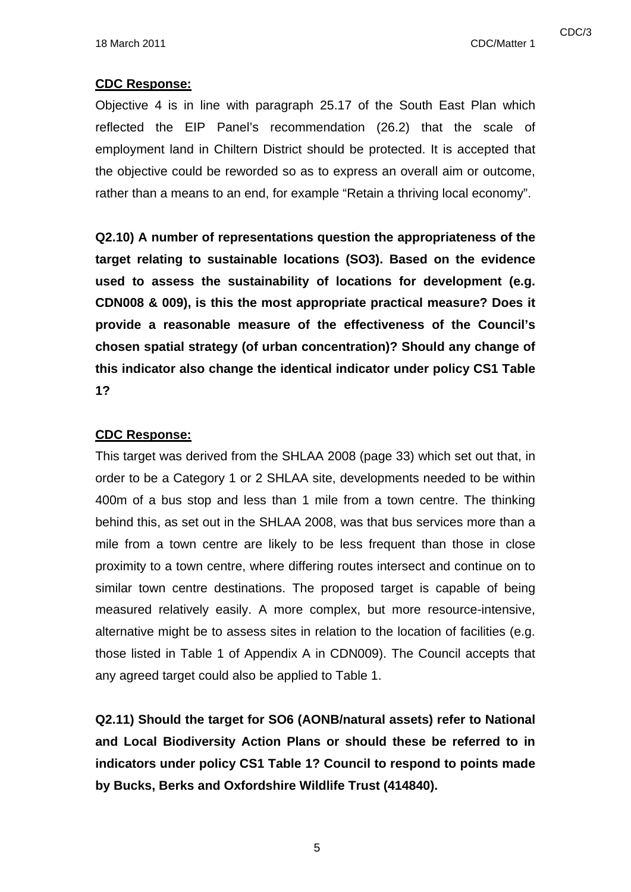#### **CDC Response:**

Objective 4 is in line with paragraph 25.17 of the South East Plan which reflected the EIP Panel's recommendation (26.2) that the scale of employment land in Chiltern District should be protected. It is accepted that the objective could be reworded so as to express an overall aim or outcome, rather than a means to an end, for example "Retain a thriving local economy".

**Q2.10) A number of representations question the appropriateness of the target relating to sustainable locations (SO3). Based on the evidence used to assess the sustainability of locations for development (e.g. CDN008 & 009), is this the most appropriate practical measure? Does it provide a reasonable measure of the effectiveness of the Council's chosen spatial strategy (of urban concentration)? Should any change of this indicator also change the identical indicator under policy CS1 Table 1?** 

#### **CDC Response:**

This target was derived from the SHLAA 2008 (page 33) which set out that, in order to be a Category 1 or 2 SHLAA site, developments needed to be within 400m of a bus stop and less than 1 mile from a town centre. The thinking behind this, as set out in the SHLAA 2008, was that bus services more than a mile from a town centre are likely to be less frequent than those in close proximity to a town centre, where differing routes intersect and continue on to similar town centre destinations. The proposed target is capable of being measured relatively easily. A more complex, but more resource-intensive, alternative might be to assess sites in relation to the location of facilities (e.g. those listed in Table 1 of Appendix A in CDN009). The Council accepts that any agreed target could also be applied to Table 1.

**Q2.11) Should the target for SO6 (AONB/natural assets) refer to National and Local Biodiversity Action Plans or should these be referred to in indicators under policy CS1 Table 1? Council to respond to points made by Bucks, Berks and Oxfordshire Wildlife Trust (414840).**